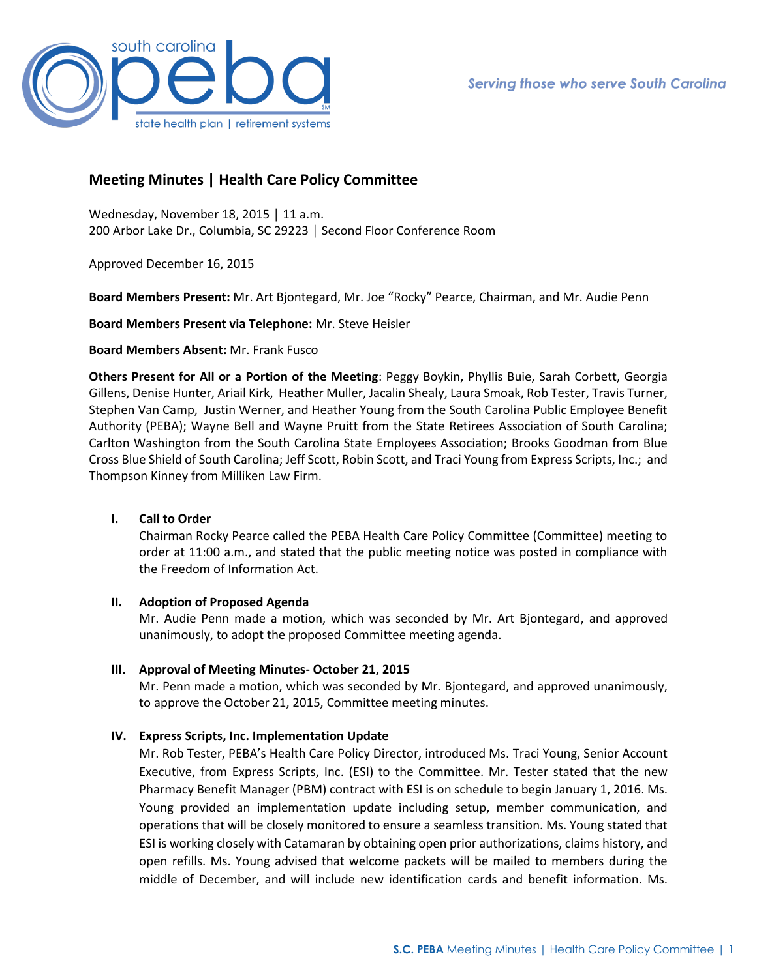

# **Meeting Minutes | Health Care Policy Committee**

Wednesday, November 18, 2015 │ 11 a.m. 200 Arbor Lake Dr., Columbia, SC 29223 │ Second Floor Conference Room

Approved December 16, 2015

**Board Members Present:** Mr. Art Bjontegard, Mr. Joe "Rocky" Pearce, Chairman, and Mr. Audie Penn

**Board Members Present via Telephone:** Mr. Steve Heisler

## **Board Members Absent:** Mr. Frank Fusco

**Others Present for All or a Portion of the Meeting**: Peggy Boykin, Phyllis Buie, Sarah Corbett, Georgia Gillens, Denise Hunter, Ariail Kirk, Heather Muller, Jacalin Shealy, Laura Smoak, Rob Tester, Travis Turner, Stephen Van Camp, Justin Werner, and Heather Young from the South Carolina Public Employee Benefit Authority (PEBA); Wayne Bell and Wayne Pruitt from the State Retirees Association of South Carolina; Carlton Washington from the South Carolina State Employees Association; Brooks Goodman from Blue Cross Blue Shield of South Carolina; Jeff Scott, Robin Scott, and Traci Young from Express Scripts, Inc.; and Thompson Kinney from Milliken Law Firm.

#### **I. Call to Order**

Chairman Rocky Pearce called the PEBA Health Care Policy Committee (Committee) meeting to order at 11:00 a.m., and stated that the public meeting notice was posted in compliance with the Freedom of Information Act.

#### **II. Adoption of Proposed Agenda**

Mr. Audie Penn made a motion, which was seconded by Mr. Art Bjontegard, and approved unanimously, to adopt the proposed Committee meeting agenda.

#### **III. Approval of Meeting Minutes- October 21, 2015**

Mr. Penn made a motion, which was seconded by Mr. Bjontegard, and approved unanimously, to approve the October 21, 2015, Committee meeting minutes.

# **IV. Express Scripts, Inc. Implementation Update**

Mr. Rob Tester, PEBA's Health Care Policy Director, introduced Ms. Traci Young, Senior Account Executive, from Express Scripts, Inc. (ESI) to the Committee. Mr. Tester stated that the new Pharmacy Benefit Manager (PBM) contract with ESI is on schedule to begin January 1, 2016. Ms. Young provided an implementation update including setup, member communication, and operations that will be closely monitored to ensure a seamless transition. Ms. Young stated that ESI is working closely with Catamaran by obtaining open prior authorizations, claims history, and open refills. Ms. Young advised that welcome packets will be mailed to members during the middle of December, and will include new identification cards and benefit information. Ms.